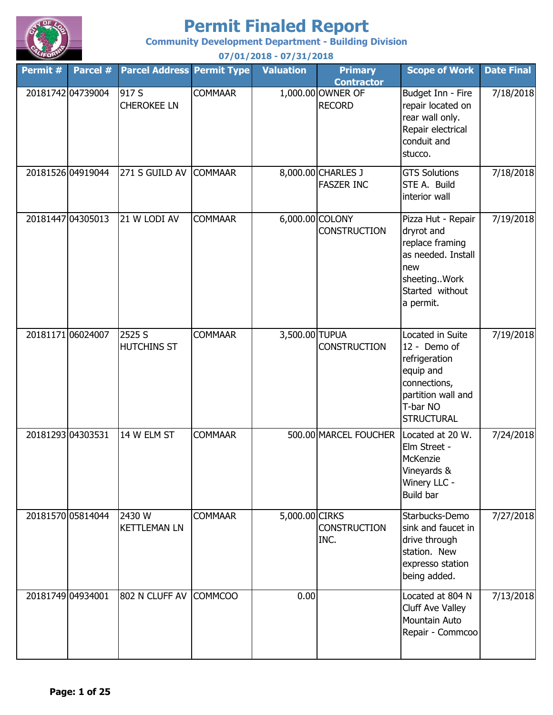

**Community Development Department - Building Division**

**Permit # Parcel # Permit Type Valuation Primary Parcel Address Contractor Scope of Work Date Final** 20181742 04739004 917 S COMMAAR 1 0.000.00 OWNER OF RECORD Budget Inn - Fire repair located on rear wall only. Repair electrical conduit and stucco. 7/18/2018 20181526|04919044 |271 S GUILD AV |COMMAAR | 8,000.00|CHARLES J FASZER INC GTS Solutions STE A. Build interior wall 7/18/2018 20181447 04305013 21 W LODI AV COMMAAR 6,000.00 COLONY **CONSTRUCTION** Pizza Hut - Repair dryrot and replace framing as needed. Install new sheeting..Work Started without a permit. 7/19/2018 20181171 06024007 2525 S COMMAAR 3,500.00 TUPUA **CONSTRUCTION** Located in Suite 12 - Demo of refrigeration equip and connections, partition wall and T-bar NO **STRUCTURAL** 7/19/2018 20181293 04303531 COMMAAR 500.00 MARCEL FOUCHER Located at 20 W. Elm Street - **McKenzie** Vineyards & Winery LLC - Build bar 7/24/2018 20181570 05814044 2430 W COMMAAR 5,000.00 CIRKS **CONSTRUCTION** INC. Starbucks-Demo sink and faucet in drive through station. New expresso station being added. 7/27/2018 20181749|04934001 |802 N CLUFF AV |COMMCOO | 0.00| |Located at 804 N | Cluff Ave Valley Mountain Auto Repair - Commcoo 7/13/2018 2525 S HUTCHINS ST 14 W FLM ST 2430 W KETTLEMAN LN 917 S CHEROKEE LN 21 W LODI AV **07/01/2018 - 07/31/2018**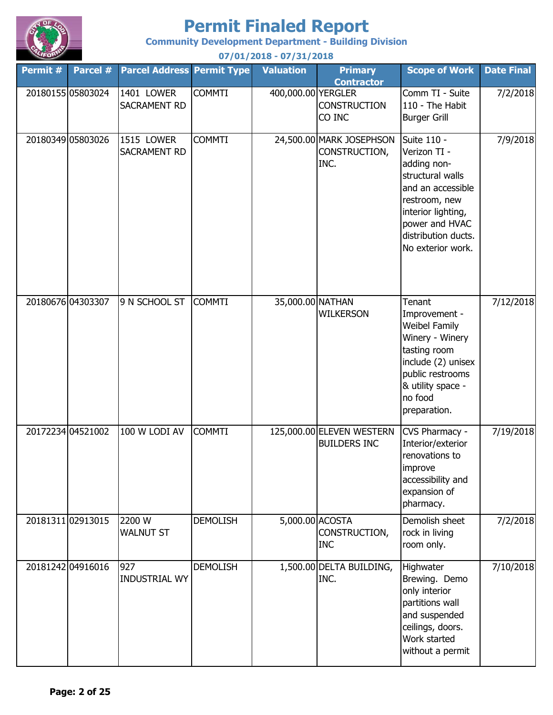

**Community Development Department - Building Division**

**Permit # Parcel # Permit Type Valuation Primary Parcel Address Contractor Scope of Work Date Final 07/01/2018 - 07/31/2018** 20180155 05803024 | 1401 LOWER COMMTI | 400,000.00 YERGLER CONSTRUCTION CO INC Comm TI - Suite 110 - The Habit Burger Grill 7/2/2018 20180349 05803026 1515 LOWER COMMTI 24,500.00 MARK JOSEPHSON CONSTRUCTION, INC. Suite 110 - Verizon TI adding nonstructural walls and an accessible restroom, new interior lighting, power and HVAC distribution ducts. No exterior work. 7/9/2018 20180676 04303307 9 N SCHOOL ST COMMTI | 35,000.00 NATHAN WILKERSON **Tenant** Improvement - Weibel Family Winery - Winery tasting room include (2) unisex public restrooms & utility space no food preparation. 7/12/2018 20172234 04521002 100 W LODI AV COMMTI | 125,000.00 ELEVEN WESTERN BUILDERS INC CVS Pharmacy - Interior/exterior renovations to improve accessibility and expansion of pharmacy. 7/19/2018 20181311 02913015 2200 W DEMOLISH 5,000.00 ACOSTA CONSTRUCTION, INC Demolish sheet rock in living room only. 7/2/2018 20181242 04916016 DEMOLISH 1,500.00 DELTA BUILDING, INC. **Highwater** Brewing. Demo only interior partitions wall and suspended ceilings, doors. Work started without a permit 7/10/2018 1515 LOWER SACRAMENT RD 9 N SCHOOL ST 100 W LODI AV 2200 W WALNUT ST 927 INDUSTRIAL WY 1401 LOWER SACRAMENT RD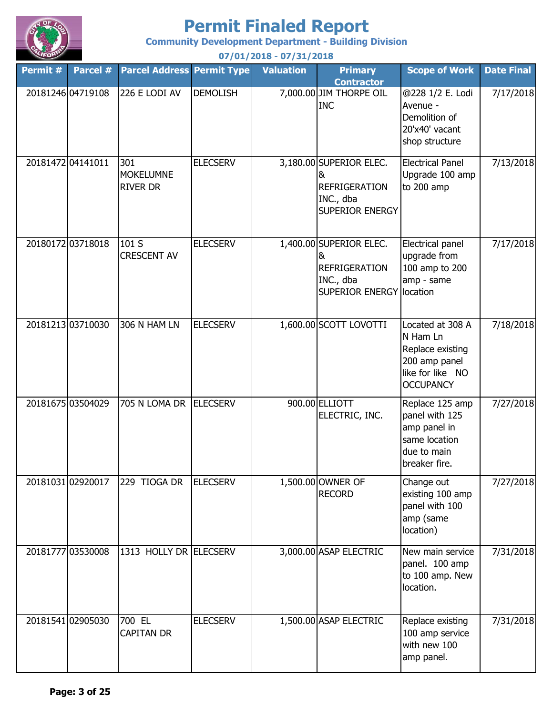

**Community Development Department - Building Division**

**Permit # Parcel # Permit Type Valuation Primary Parcel Address Contractor Scope of Work Date Final 07/01/2018 - 07/31/2018** 20181246 04719108 226 E LODI AV DEMOLISH 7,000.00 JIM THORPE OIL INC @228 1/2 E. Lodi Avenue - Demolition of 20'x40' vacant shop structure 7/17/2018 20181472 04141011 301 ELECSERV 3,180.00 SUPERIOR ELEC. & REFRIGERATION INC., dba SUPERIOR ENERGY Electrical Panel Upgrade 100 amp to 200 amp 7/13/2018 20180172 03718018 101 S ELECSERV 1,400.00 SUPERIOR ELEC. & REFRIGERATION INC., dba SUPERIOR ENERGY location Electrical panel upgrade from 100 amp to 200 amp - same 7/17/2018 20181213 03710030 306 N HAM LN ELECSERV | 1,600.00 SCOTT LOVOTTI Located at 308 A N Ham Ln Replace existing 200 amp panel like for like NO **OCCUPANCY** 7/18/2018 20181675|03504029 |705 N LOMA DR |ELECSERV | 900.00|ELLIOTT ELECTRIC, INC. Replace 125 amp panel with 125 amp panel in same location due to main breaker fire. 7/27/2018 2018103102920017 229 TIOGA DR ELECSERV 1,500.00 OWNER OF RECORD Change out existing 100 amp panel with 100 amp (same location) 7/27/2018 20181777 03530008 1313 HOLLY DR ELECSERV 3,000.00 ASAP ELECTRIC New main service panel. 100 amp to 100 amp. New location. 7/31/2018 20181541 02905030 700 EL ELECSERV 1,500.00 ASAP ELECTRIC Replace existing 100 amp service with new 100 amp panel. 7/31/2018 229 TIOGA DR 1313 HOLLY DR ELECSERV 700 EL CAPITAN DR 226 E LODI AV 301 **MOKELUMNE** RIVER DR 101 S CRESCENT AV 306 N HAM LN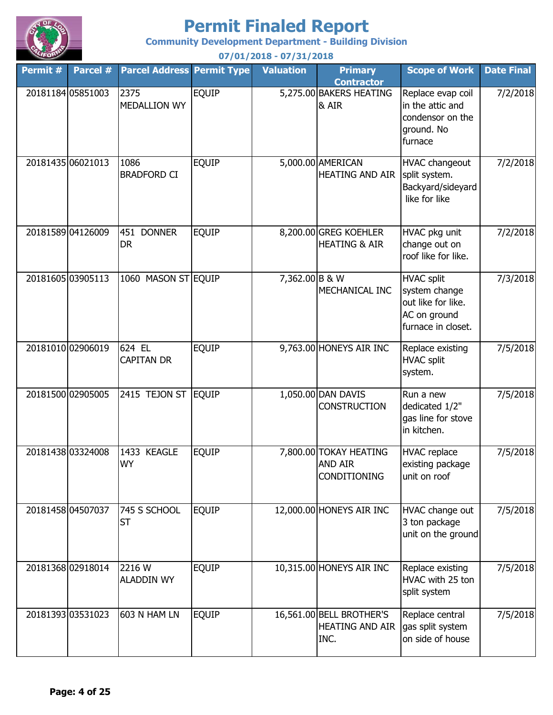

**Community Development Department - Building Division**

**Permit # Parcel # Permit Type Valuation Primary Parcel Address Contractor Scope of Work Date Final 07/01/2018 - 07/31/2018** 20181184 05851003 2375 | EQUIP | 5,275.00 BAKERS HEATING & AIR Replace evap coil in the attic and condensor on the ground. No furnace 7/2/2018 20181435 06021013 1086 | EQUIP 5,000.00 AMERICAN HEATING AND AIR HVAC changeout split system. Backyard/sideyard like for like 7/2/2018 20181589 04126009 | 451 DONNER | EQUIP 8,200.00 GREG KOEHLER HEATING & AIR HVAC pkg unit change out on roof like for like. 7/2/2018 20181605|03905113 |1060 MASON ST|EQUIP 7,362.00|B & W MECHANICAL INC HVAC split system change out like for like. AC on ground furnace in closet. 7/3/2018 20181010 02906019 624 EL EQUIP 9,763.00 HONEYS AIR INC Replace existing HVAC split system. 7/5/2018 20181500 02905005 EQUIP 1,050.00 DAN DAVIS 2415 TEJON ST **CONSTRUCTION** Run a new dedicated 1/2" gas line for stove in kitchen. 7/5/2018 20181438 03324008 | 1433 KEAGLE | EQUIP | 7,800.00 TOKAY HEATING AND AIR CONDITIONING HVAC replace existing package unit on roof 7/5/2018 20181458 04507037 745 S SCHOOL EQUIP 12,000.00 HONEYS AIR INC HVAC change out 3 ton package unit on the ground 7/5/2018 20181368 02918014 2216 W EQUIP 10,315.00 HONEYS AIR INC Replace existing HVAC with 25 ton split system 7/5/2018 20181393 03531023 603 N HAM LN EQUIP 16,561.00 BELL BROTHER'S HEATING AND AIR INC. Replace central gas split system on side of house 7/5/2018 745 S SCHOOL **ST** 2216 W ALADDIN WY 603 N HAM LN 451 DONNER DR 624 EL CAPITAN DR 1433 KEAGLE WY 2375 MEDALLION WY 1086 BRADFORD CI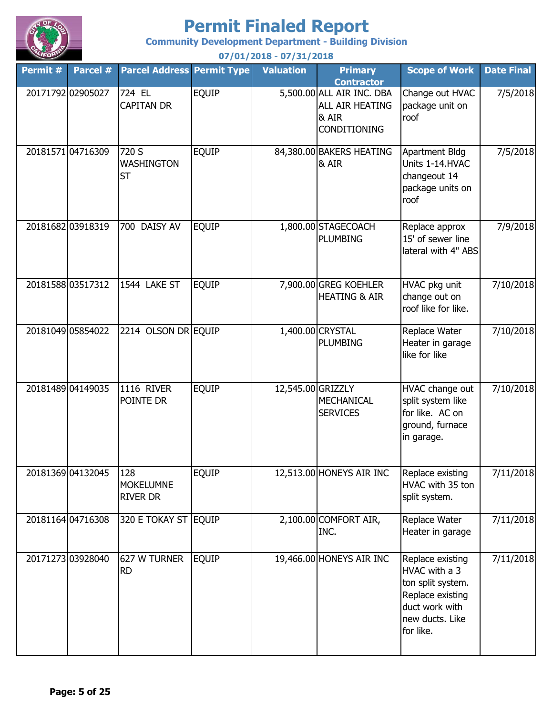

**Community Development Department - Building Division**

**Permit # Parcel # Permit Type Valuation Primary Parcel Address Contractor Scope of Work Date Final 07/01/2018 - 07/31/2018** 20171792 02905027 724 EL EQUIP 5,500.00 ALL AIR INC. DBA ALL AIR HEATING & AIR CONDITIONING Change out HVAC package unit on roof 7/5/2018 20181571 04716309 720 S EQUIP 84,380.00 BAKERS HEATING & AIR Apartment Bldg Units 1-14.HVAC changeout 14 package units on roof 7/5/2018 20181682 03918319 700 DAISY AV EQUIP 1,800.00 STAGECOACH PLUMBING Replace approx 15' of sewer line lateral with 4" ABS 7/9/2018 20181588 03517312 1544 LAKE ST EQUIP 7,900.00 GREG KOEHLER HEATING & AIR HVAC pkg unit change out on roof like for like. 7/10/2018 20181049|05854022 |2214 OLSON DR|EQUIP 1,400.00|CRYSTAL PLUMBING Replace Water Heater in garage like for like 7/10/2018 20181489 04149035 11116 RIVER EOUIP 12,545.00 GRIZZLY MECHANICAL **SERVICES** HVAC change out split system like for like. AC on ground, furnace in garage. 7/10/2018 20181369 04132045 128 EQUIP 12,513.00 HONEYS AIR INC Replace existing HVAC with 35 ton split system. 7/11/2018 20181164 04716308 320 E TOKAY ST EQUIP 2,100.00 COMFORT AIR, INC. Replace Water Heater in garage 7/11/2018 20171273 03928040 627 W TURNER EQUIP 19,466.00 HONEYS AIR INC Replace existing HVAC with a 3 ton split system. Replace existing duct work with new ducts. Like for like. 7/11/2018 320 E TOKAY ST 627 W TURNER RD 700 DAISY AV 1544 LAKE ST 1116 RIVER POINTE DR 128 MOKELUMNE RIVER DR 724 EL CAPITAN DR 720 S WASHINGTON ST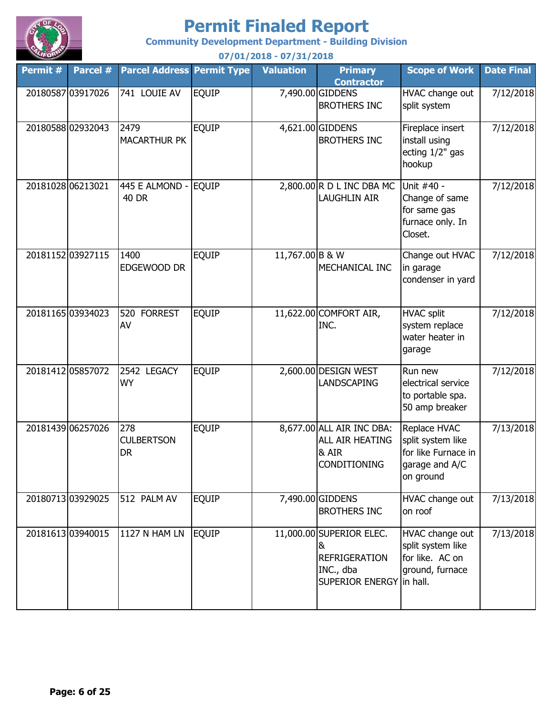

**Community Development Department - Building Division**

| Permit # | Parcel #          | <b>Parcel Address Permit Type</b>     |              | <b>Valuation</b> | <b>Primary</b><br><b>Contractor</b>                                                            | <b>Scope of Work</b>                                                                    | <b>Date Final</b> |
|----------|-------------------|---------------------------------------|--------------|------------------|------------------------------------------------------------------------------------------------|-----------------------------------------------------------------------------------------|-------------------|
|          | 20180587 03917026 | 741 LOUIE AV                          | <b>EQUIP</b> |                  | 7,490.00 GIDDENS<br><b>BROTHERS INC</b>                                                        | HVAC change out<br>split system                                                         | 7/12/2018         |
|          | 2018058802932043  | 2479<br><b>MACARTHUR PK</b>           | <b>EQUIP</b> |                  | 4,621.00 GIDDENS<br><b>BROTHERS INC</b>                                                        | Fireplace insert<br>install using<br>ecting 1/2" gas<br>hookup                          | 7/12/2018         |
|          | 20181028 06213021 | 445 E ALMOND -<br><b>40 DR</b>        | <b>EQUIP</b> |                  | 2,800.00 R D L INC DBA MC<br><b>LAUGHLIN AIR</b>                                               | Unit #40 -<br>Change of same<br>for same gas<br>furnace only. In<br>Closet.             | 7/12/2018         |
|          | 20181152 03927115 | 1400<br>EDGEWOOD DR                   | <b>EQUIP</b> | 11,767.00 B & W  | MECHANICAL INC                                                                                 | Change out HVAC<br>in garage<br>condenser in yard                                       | 7/12/2018         |
|          | 20181165 03934023 | 520<br><b>FORREST</b><br>AV           | <b>EQUIP</b> |                  | 11,622.00 COMFORT AIR,<br>INC.                                                                 | <b>HVAC split</b><br>system replace<br>water heater in<br>garage                        | 7/12/2018         |
|          | 20181412 05857072 | 2542 LEGACY<br><b>WY</b>              | <b>EQUIP</b> |                  | 2,600.00 DESIGN WEST<br><b>LANDSCAPING</b>                                                     | Run new<br>electrical service<br>to portable spa.<br>50 amp breaker                     | 7/12/2018         |
|          | 20181439 06257026 | 278<br><b>CULBERTSON</b><br><b>DR</b> | <b>EQUIP</b> |                  | 8,677.00 ALL AIR INC DBA:<br>ALL AIR HEATING<br>& AIR<br><b>CONDITIONING</b>                   | Replace HVAC<br>split system like<br>for like Furnace in<br>garage and A/C<br>on ground | 7/13/2018         |
|          | 2018071303929025  | 512 PALM AV                           | <b>EQUIP</b> |                  | 7,490.00 GIDDENS<br><b>BROTHERS INC</b>                                                        | HVAC change out<br>on roof                                                              | 7/13/2018         |
|          | 20181613 03940015 | <b>1127 N HAM LN</b>                  | <b>EQUIP</b> |                  | 11,000.00 SUPERIOR ELEC.<br>8<br><b>REFRIGERATION</b><br>INC., dba<br>SUPERIOR ENERGY In hall. | HVAC change out<br>split system like<br>for like. AC on<br>ground, furnace              | 7/13/2018         |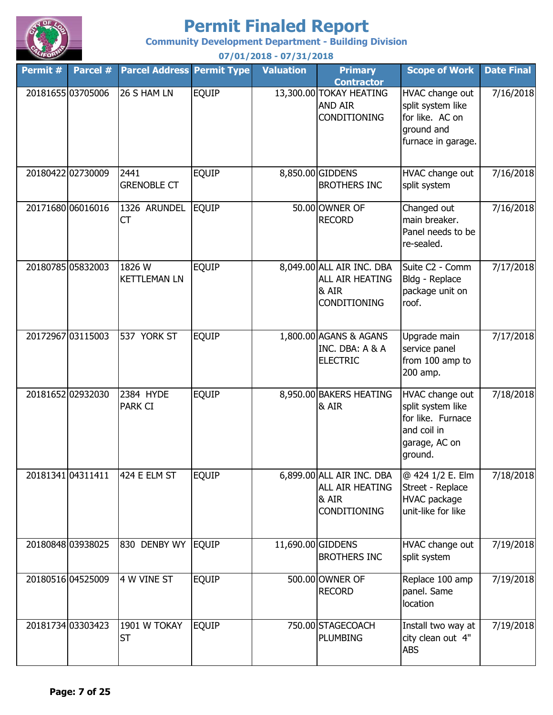

**Community Development Department - Building Division**

**Permit # Parcel # Permit Type Valuation Primary Parcel Address Contractor Scope of Work Date Final 07/01/2018 - 07/31/2018** 20181655 03705006 26 S HAM LN EQUIP 13,300.00 TOKAY HEATING AND AIR CONDITIONING HVAC change out split system like for like. AC on ground and furnace in garage. 7/16/2018 20180422 02730009 2441 EQUIP 8,850.00 GIDDENS BROTHERS INC HVAC change out split system 7/16/2018 20171680 06016016 EQUIP 50.00 OWNER OF 1326 ARUNDEL RECORD Changed out main breaker. Panel needs to be re-sealed. 7/16/2018 20180785 05832003 1826 W EQUIP 8,049.00 ALL AIR INC. DBA ALL AIR HEATING & AIR CONDITIONING Suite C2 - Comm Bldg - Replace package unit on roof. 7/17/2018 20172967 03115003 537 YORK ST EQUIP 1,800.00 AGANS & AGANS INC. DBA: A & A ELECTRIC Upgrade main service panel from 100 amp to 200 amp. 7/17/2018 20181652 02932030 EQUIP 8,950.00 BAKERS HEATING & AIR HVAC change out split system like for like. Furnace and coil in garage, AC on ground. 7/18/2018 20181341 04311411 | 424 E ELM ST | EQUIP 6,899.00 ALL AIR INC. DBA ALL AIR HEATING & AIR CONDITIONING @ 424 1/2 E. Elm Street - Replace HVAC package unit-like for like 7/18/2018 20180848|03938025 |830 DENBY WY |EQUIP | 11,690.00|GIDDENS BROTHERS INC HVAC change out split system 7/19/2018 20180516 04525009 4 W VINE ST EQUIP 500.00 OWNER OF RECORD Replace 100 amp panel. Same location 7/19/2018 20181734|03303423 |1901 W TOKAY |EQUIP 750.00|STAGECOACH |Install two way at | 7/19/2018 PLUMBING Install two way at city clean out 4" ABS ST 537 YORK ST 2384 HYDE PARK CI 424 E ELM ST 4 W VINE ST 26 S HAM LN 2441 GRENOBLE CT  $CT$ 1826 W KETTLEMAN LN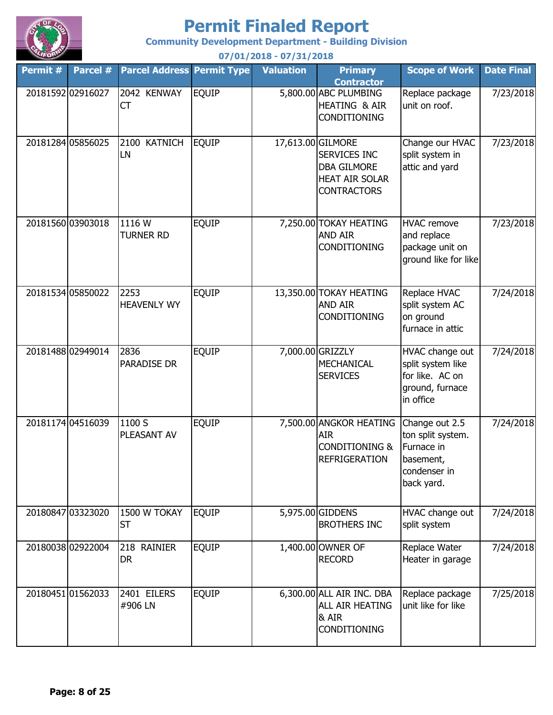

**Community Development Department - Building Division**

**Permit # Parcel # Permit Type Valuation Primary Parcel Address Contractor Scope of Work Date Final 07/01/2018 - 07/31/2018** 20181592 02916027 2042 KENWAY EQUIP 5,800.00 ABC PLUMBING HEATING & AIR CONDITIONING Replace package unit on roof. 7/23/2018 20181284 05856025 2100 KATNICH EQUIP 17,613.00 GILMORE SERVICES INC DBA GILMORE HEAT AIR SOLAR **CONTRACTORS** Change our HVAC split system in attic and yard 7/23/2018 20181560 03903018 | 1116 W | EQUIP | 7,250.00 TOKAY HEATING AND AIR CONDITIONING HVAC remove and replace package unit on ground like for like 7/23/2018 20181534 05850022 2253 EQUIP 13,350.00 TOKAY HEATING AND AIR CONDITIONING Replace HVAC split system AC on ground furnace in attic 7/24/2018 20181488 02949014 EQUIP 7,000.00 GRIZZLY MECHANICAL **SERVICES** HVAC change out split system like for like. AC on ground, furnace in office 7/24/2018 20181174 04516039 1100 S EQUIP 7,500.00 ANGKOR HEATING AIR CONDITIONING & REFRIGERATION Change out 2.5 ton split system. Furnace in basement, condenser in back yard. 7/24/2018 20180847 03323020 1500 W TOKAY EQUIP 5,975.00 GIDDENS BROTHERS INC HVAC change out split system 7/24/2018 20180038 02922004 218 RAINIER EQUIP 1,400.00 OWNER OF RECORD Replace Water Heater in garage 7/24/2018 20180451 01562033 2401 EILERS EQUIP 6,300.00 ALL AIR INC. DBA ALL AIR HEATING & AIR CONDITIONING Replace package unit like for like 7/25/2018 2836 PARADISE DR 1100 S PLEASANT AV 1500 W TOKAY ST 218 RAINIER DR 2401 EILERS #906 LN 2042 KENWAY  $\mathsf{CT}$ 2100 KATNICH LN 1116 W TURNER RD 2253 HEAVENLY WY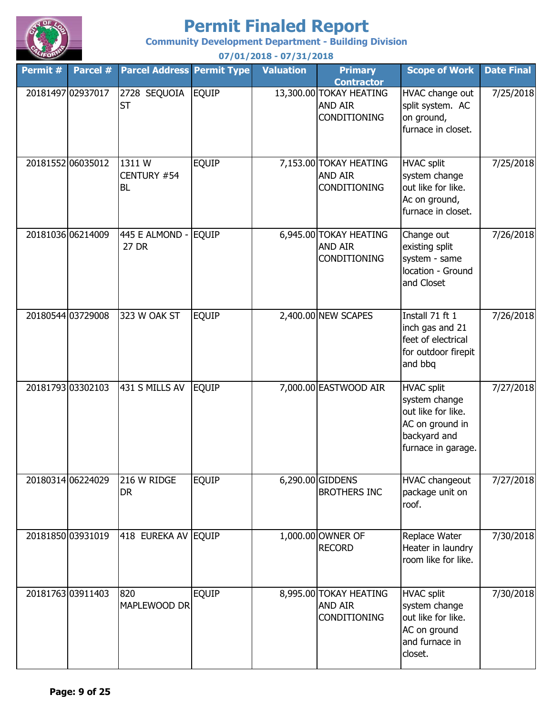

**Community Development Department - Building Division**

**Permit # Parcel # Permit Type Valuation Primary Parcel Address Contractor Scope of Work Date Final 07/01/2018 - 07/31/2018** 20181497 02937017 2728 SEQUOIA EQUIP 13,300.00 TOKAY HEATING AND AIR CONDITIONING HVAC change out split system. AC on ground, furnace in closet. 7/25/2018 20181552 06035012 1311 W EQUIP 7,153.00 TOKAY HEATING AND AIR CONDITIONING HVAC split system change out like for like. Ac on ground, furnace in closet. 7/25/2018 20181036 06214009 EQUIP 6,945.00 TOKAY HEATING AND AIR CONDITIONING Change out existing split system - same location - Ground and Closet 7/26/2018 20180544 03729008 323 W OAK ST EQUIP 2,400.00 NEW SCAPES | Install 71 ft 1 inch gas and 21 feet of electrical for outdoor firepit and bbq 7/26/2018 20181793 03302103 | 431 S MILLS AV | EQUIP | 7,000.00 EASTWOOD AIR | HVAC split system change out like for like. AC on ground in backyard and furnace in garage. 7/27/2018 20180314 06224029 216 W RIDGE EQUIP 6,290.00 GIDDENS BROTHERS INC HVAC changeout package unit on roof. 7/27/2018 20181850|03931019 |418 EUREKA AV |EQUIP 1,000.00|OWNER OF RECORD Replace Water Heater in laundry room like for like. 7/30/2018 20181763 03911403 820 EQUIP 8,995.00 TOKAY HEATING AND AIR **CONDITIONING** HVAC split system change out like for like. AC on ground and furnace in closet. 7/30/2018 216 W RIDGE DR 820 MAPLEWOOD DR 2728 SEQUOIA ST 1311 W CENTURY #54 BL 445 E ALMOND - 27 DR 323 W OAK ST 431 S MILLS AV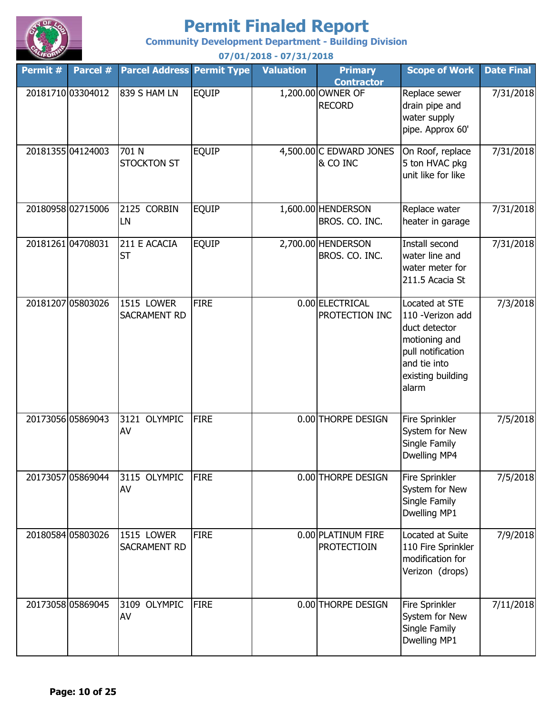

**Community Development Department - Building Division**

**Permit # Parcel # Permit Type Valuation Primary Parcel Address Contractor Scope of Work Date Final 07/01/2018 - 07/31/2018** 20181710 03304012 839 S HAM LN EQUIP 1,200.00 OWNER OF RECORD Replace sewer drain pipe and water supply pipe. Approx 60' 7/31/2018 20181355 04124003 701 N EQUIP 4,500.00 C EDWARD JONES & CO INC On Roof, replace 5 ton HVAC pkg unit like for like 7/31/2018 20180958 02715006 2125 CORBIN EQUIP 1,600.00 HENDERSON BROS. CO. INC. Replace water heater in garage 7/31/2018 20181261 04708031 211 E ACACIA EQUIP 2,700.00 HENDERSON BROS. CO. INC. Install second water line and water meter for 211.5 Acacia St 7/31/2018 20181207 05803026 1515 LOWER FIRE 1 0.00 ELECTRICAL PROTECTION INC Located at STE 110 -Verizon add duct detector motioning and pull notification and tie into existing building alarm 7/3/2018 20173056 05869043 3121 OLYMPIC FIRE 10.00 THORPE DESIGN Fire Sprinkler System for New Single Family Dwelling MP4 7/5/2018 20173057 05869044 3115 OLYMPIC FIRE | 0.00 THORPE DESIGN | Fire Sprinkler System for New Single Family Dwelling MP1 7/5/2018 20180584 05803026 1515 LOWER FIRE 0.00 PLATINUM FIRE PROTECTIOIN Located at Suite 110 Fire Sprinkler modification for Verizon (drops) 7/9/2018 20173058 05869045 3109 OLYMPIC FIRE | 0.00 THORPE DESIGN | Fire Sprinkler System for New Single Family Dwelling MP1 7/11/2018 1515 LOWER SACRAMENT RD 3109 OLYMPIC AV 2125 CORBIN LN 211 E ACACIA ST 1515 LOWER SACRAMENT RD 3121 OLYMPIC AV 3115 OLYMPIC AV 839 S HAM LN 701 N STOCKTON ST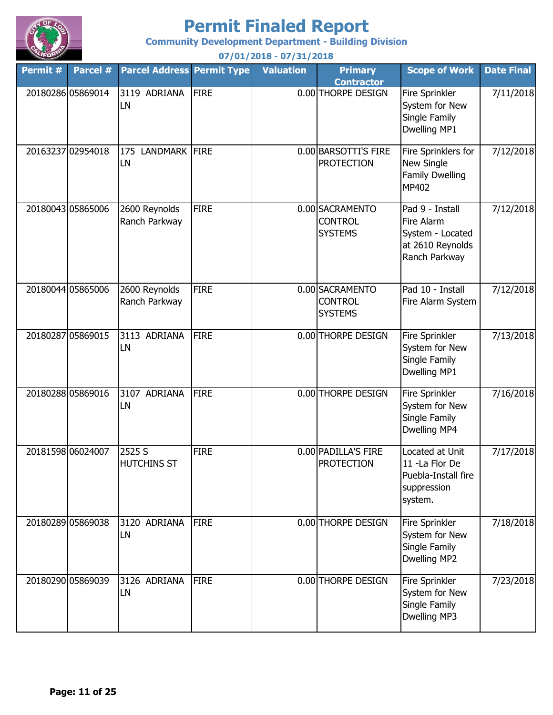

**Community Development Department - Building Division**

**Permit # Parcel # Permit Type Valuation Primary Parcel Address Contractor Scope of Work Date Final 07/01/2018 - 07/31/2018** 20180286 05869014 3119 ADRIANA FIRE **1.12 COLO THORPE DESIGN** Fire Sprinkler System for New Single Family Dwelling MP1 7/11/2018 20163237|02954018 |175 LANDMARK |FIRE 0.00|BARSOTTI'S FIRE PROTECTION Fire Sprinklers for New Single Family Dwelling MP402 7/12/2018 20180043 05865006 2600 Reynolds FIRE 0.00 SACRAMENTO **CONTROL SYSTEMS** Pad 9 - Install Fire Alarm System - Located at 2610 Reynolds Ranch Parkway 7/12/2018 20180044 05865006 2600 Reynolds FIRE 0.00 SACRAMENTO CONTROL **SYSTEMS** Pad 10 - Install Fire Alarm System 7/12/2018 20180287 05869015 3113 ADRIANA FIRE 0.00 THORPE DESIGN Fire Sprinkler System for New Single Family Dwelling MP1 7/13/2018 20180288 05869016 3107 ADRIANA FIRE 10.00 THORPE DESIGN Fire Sprinkler System for New Single Family Dwelling MP4 7/16/2018 20181598 06024007 2525 S FIRE 0.00 PADILLA'S FIRE PROTECTION Located at Unit 11 -La Flor De Puebla-Install fire suppression system. 7/17/2018 20180289 05869038 3120 ADRIANA FIRE 10.00 THORPE DESIGN Fire Sprinkler System for New Single Family Dwelling MP2 7/18/2018 20180290|05869039 |3126 ADRIANA |FIRE 0.00|THORPE DESIGN |Fire Sprinkler | 7/23/2018 System for New Single Family Dwelling MP3 LN 2600 Reynolds Ranch Parkway 3113 ADRIANA LN 3107 ADRIANA LN 2525 S HUTCHINS ST 3120 ADRIANA LN 3119 ADRIANA LN LN 2600 Reynolds Ranch Parkway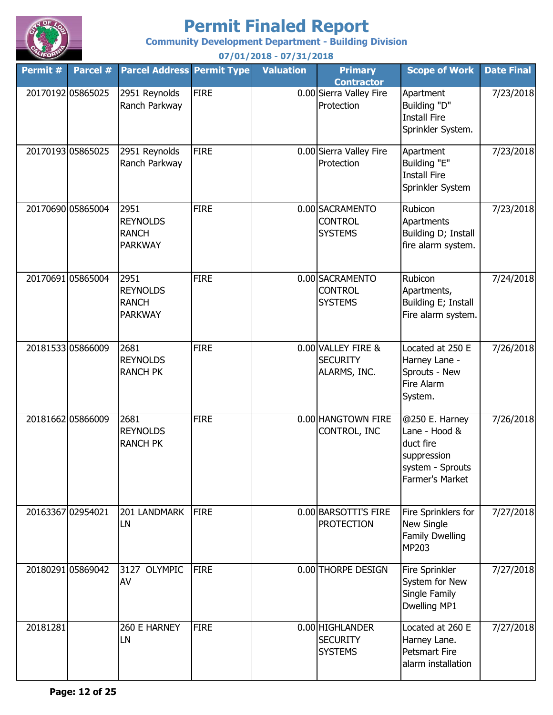

**Community Development Department - Building Division**

**Permit # Parcel # Permit Type Valuation Primary Parcel Address Contractor Scope of Work Date Final 07/01/2018 - 07/31/2018** 20170192 05865025 2951 Reynolds FIRE 10.00 Sierra Valley Fire Protection Apartment Building "D" Install Fire Sprinkler System. 7/23/2018 20170193 05865025 2951 Reynolds FIRE 10.00 Sierra Valley Fire Protection Apartment Building "E" Install Fire Sprinkler System 7/23/2018 20170690 05865004 2951 FIRE 0.00 SACRAMENTO **CONTROL SYSTEMS** Rubicon Apartments Building D; Install fire alarm system. 7/23/2018 20170691 05865004 FIRE 0.00 SACRAMENTO CONTROL **SYSTEMS** Rubicon Apartments, Building E; Install Fire alarm system. 7/24/2018 20181533 05866009 2681 FIRE | 0.00 VALLEY FIRE & **SECURITY** ALARMS, INC. Located at 250 E Harney Lane - Sprouts - New Fire Alarm System. 7/26/2018 20181662 05866009 2681 FIRE 0.00 HANGTOWN FIRE CONTROL, INC @250 E. Harney Lane - Hood & duct fire suppression system - Sprouts Farmer's Market 7/26/2018 20163367 02954021 FIRE 0.00 BARSOTTI'S FIRE PROTECTION Fire Sprinklers for New Single Family Dwelling MP203 7/27/2018 20180291|05869042 |3127 OLYMPIC |FIRE 0.00 THORPE DESIGN |Fire Sprinkler System for New Single Family Dwelling MP1 7/27/2018 20181281 **FIRE** 1260 E HARNEY FIRE **1200 COOLIGATE SECURITY SYSTEMS** Located at 260 E Harney Lane. Petsmart Fire alarm installation 7/27/2018 2681 REYNOLDS RANCH PK 2681 REYNOLDS RANCH PK 201 LANDMARK LN AV 260 E HARNEY LN 2951 Reynolds Ranch Parkway 2951 Reynolds Ranch Parkway 2951 REYNOLDS RANCH PARKWAY 2951 REYNOLDS RANCH PARKWAY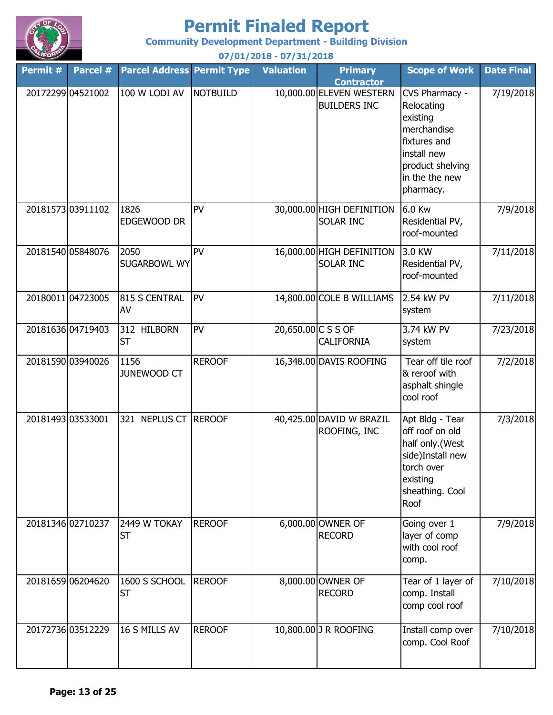

**Community Development Department - Building Division**

| Permit # | Parcel #          | <b>Parcel Address Permit Type</b> |                 | <b>Valuation</b>   | <b>Primary</b><br><b>Contractor</b>             | <b>Scope of Work</b>                                                                                                                      | <b>Date Final</b> |
|----------|-------------------|-----------------------------------|-----------------|--------------------|-------------------------------------------------|-------------------------------------------------------------------------------------------------------------------------------------------|-------------------|
|          | 20172299 04521002 | 100 W LODI AV                     | <b>NOTBUILD</b> |                    | 10,000.00 ELEVEN WESTERN<br><b>BUILDERS INC</b> | CVS Pharmacy -<br>Relocating<br>existing<br>merchandise<br>fixtures and<br>install new<br>product shelving<br>in the the new<br>pharmacy. | 7/19/2018         |
|          | 20181573 03911102 | 1826<br>EDGEWOOD DR               | PV              |                    | 30,000.00 HIGH DEFINITION<br><b>SOLAR INC</b>   | 6.0 Kw<br>Residential PV,<br>roof-mounted                                                                                                 | 7/9/2018          |
|          | 20181540 05848076 | 2050<br><b>SUGARBOWL WY</b>       | <b>PV</b>       |                    | 16,000.00 HIGH DEFINITION<br>SOLAR INC          | 3.0 KW<br>Residential PV,<br>roof-mounted                                                                                                 | 7/11/2018         |
|          | 20180011 04723005 | 815 S CENTRAL<br>AV               | PV              |                    | 14,800.00 COLE B WILLIAMS                       | 2.54 kW PV<br>system                                                                                                                      | 7/11/2018         |
|          | 20181636 04719403 | 312 HILBORN<br><b>ST</b>          | <b>PV</b>       | 20,650.00 C S S OF | <b>CALIFORNIA</b>                               | 3.74 kW PV<br>system                                                                                                                      | 7/23/2018         |
|          | 20181590 03940026 | 1156<br>JUNEWOOD CT               | <b>REROOF</b>   |                    | 16,348.00 DAVIS ROOFING                         | Tear off tile roof<br>& reroof with<br>asphalt shingle<br>cool roof                                                                       | 7/2/2018          |
|          | 20181493 03533001 | 321 NEPLUS CT REROOF              |                 |                    | 40,425.00 DAVID W BRAZIL<br>ROOFING, INC        | Apt Bldg - Tear<br>off roof on old<br>half only.(West<br>side)Install new<br>torch over<br>existing<br>sheathing. Cool<br>Roof            | 7/3/2018          |
|          | 20181346 02710237 | 2449 W TOKAY<br><b>ST</b>         | <b>REROOF</b>   |                    | 6,000.00 OWNER OF<br><b>RECORD</b>              | Going over 1<br>layer of comp<br>with cool roof<br>comp.                                                                                  | 7/9/2018          |
|          | 20181659 06204620 | 1600 S SCHOOL<br><b>ST</b>        | <b>REROOF</b>   |                    | 8,000.00 OWNER OF<br><b>RECORD</b>              | Tear of 1 layer of<br>comp. Install<br>comp cool roof                                                                                     | 7/10/2018         |
|          | 20172736 03512229 | 16 S MILLS AV                     | <b>REROOF</b>   |                    | 10,800.00 J R ROOFING                           | Install comp over<br>comp. Cool Roof                                                                                                      | 7/10/2018         |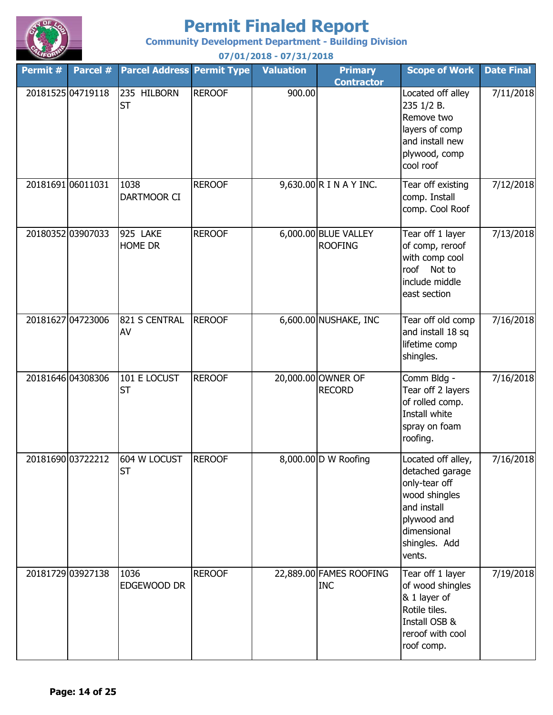

**Community Development Department - Building Division**

| Permit # | Parcel #          | <b>Parcel Address Permit Type</b> |               | <b>Valuation</b> | <b>Primary</b><br><b>Contractor</b>    | <b>Scope of Work</b>                                                                                                                            | <b>Date Final</b> |
|----------|-------------------|-----------------------------------|---------------|------------------|----------------------------------------|-------------------------------------------------------------------------------------------------------------------------------------------------|-------------------|
|          | 20181525 04719118 | 235 HILBORN<br><b>ST</b>          | <b>REROOF</b> | 900.00           |                                        | Located off alley<br>235 1/2 B.<br>Remove two<br>layers of comp<br>and install new<br>plywood, comp<br>cool roof                                | 7/11/2018         |
|          | 20181691 06011031 | 1038<br>DARTMOOR CI               | <b>REROOF</b> |                  | $9,630.00$ R I N A Y INC.              | Tear off existing<br>comp. Install<br>comp. Cool Roof                                                                                           | 7/12/2018         |
|          | 20180352 03907033 | 925 LAKE<br>HOME DR               | <b>REROOF</b> |                  | 6,000.00 BLUE VALLEY<br><b>ROOFING</b> | Tear off 1 layer<br>of comp, reroof<br>with comp cool<br>roof<br>Not to<br>include middle<br>east section                                       | 7/13/2018         |
|          | 20181627 04723006 | 821 S CENTRAL<br>AV               | <b>REROOF</b> |                  | 6,600.00 NUSHAKE, INC                  | Tear off old comp<br>and install 18 sq<br>lifetime comp<br>shingles.                                                                            | 7/16/2018         |
|          | 20181646 04308306 | 101 E LOCUST<br><b>ST</b>         | <b>REROOF</b> |                  | 20,000.00 OWNER OF<br><b>RECORD</b>    | Comm Bldg -<br>Tear off 2 layers<br>of rolled comp.<br>Install white<br>spray on foam<br>roofing.                                               | 7/16/2018         |
|          | 20181690 03722212 | 604 W LOCUST<br><b>ST</b>         | <b>REROOF</b> |                  | 8,000.00 D W Roofing                   | Located off alley,<br>detached garage<br>only-tear off<br>wood shingles<br>and install<br>plywood and<br>dimensional<br>shingles. Add<br>vents. | 7/16/2018         |
|          | 20181729 03927138 | 1036<br>EDGEWOOD DR               | <b>REROOF</b> |                  | 22,889.00 FAMES ROOFING<br><b>INC</b>  | Tear off 1 layer<br>of wood shingles<br>& 1 layer of<br>Rotile tiles.<br>Install OSB &<br>reroof with cool<br>roof comp.                        | 7/19/2018         |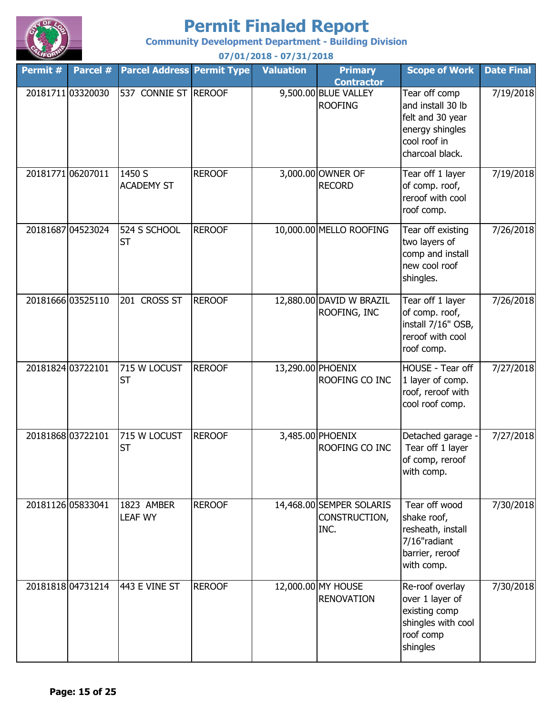

**Community Development Department - Building Division**

**Permit # Parcel # Permit Type Valuation Primary Parcel Address Contractor Scope of Work Date Final 07/01/2018 - 07/31/2018** 20181711|03320030 |537 CONNIE ST |REROOF 9,500.00|BLUE VALLEY ROOFING Tear off comp and install 30 lb felt and 30 year energy shingles cool roof in charcoal black. 7/19/2018 20181771 06207011 | 1450 S REROOF | 3,000.00 OWNER OF RECORD Tear off 1 layer of comp. roof, reroof with cool roof comp. 7/19/2018 20181687 04523024 524 S SCHOOL REROOF 1 0,000.00 MELLO ROOFING Tear off existing two layers of comp and install new cool roof shingles. 7/26/2018 20181666 03525110 201 CROSS ST REROOF 12,880.00 DAVID W BRAZIL ROOFING, INC Tear off 1 layer of comp. roof, install 7/16" OSB, reroof with cool roof comp. 7/26/2018 20181824 03722101 715 W LOCUST REROOF 13,290.00 PHOENIX ROOFING CO INC HOUSE - Tear off 1 layer of comp. roof, reroof with cool roof comp. 7/27/2018 20181868 03722101 715 W LOCUST REROOF 3,485.00 PHOENIX ROOFING CO INC Detached garage - Tear off 1 layer of comp, reroof with comp. 7/27/2018 20181126 05833041 | 1823 AMBER | REROOF | 14,468.00 SEMPER SOLARIS CONSTRUCTION, INC. Tear off wood shake roof, resheath, install 7/16"radiant barrier, reroof with comp. 7/30/2018 20181818 04731214 443 E VINE ST REROOF 12,000.00 MY HOUSE RENOVATION Re-roof overlay over 1 layer of existing comp shingles with cool roof comp shingles 7/30/2018 201 CROSS ST 715 W LOCUST ST 715 W LOCUST **ST** 1823 AMBER LEAF WY 443 E VINE ST 1450 S ACADEMY ST 524 S SCHOOL ST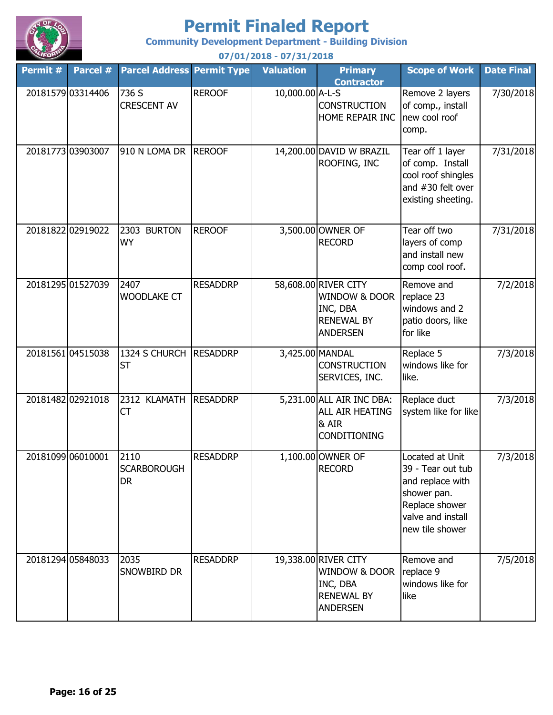

**Community Development Department - Building Division**

**Permit # Parcel # Permit Type Valuation Primary Parcel Address Contractor Scope of Work Date Final 07/01/2018 - 07/31/2018** 20181579 03314406 736 S REROOF 1 0,000.00 A-L-S **CONSTRUCTION** HOME REPAIR INC Remove 2 layers of comp., install new cool roof comp. 7/30/2018 20181773 03903007 910 N LOMA DR REROOF 14,200.00 DAVID W BRAZIL ROOFING, INC Tear off 1 layer of comp. Install cool roof shingles and #30 felt over existing sheeting. 7/31/2018 20181822 02919022 2303 BURTON REROOF 3,500.00 OWNER OF RECORD Tear off two layers of comp and install new comp cool roof. 7/31/2018 20181295 01527039 2407 RESADDRP 58,608.00 RIVER CITY WINDOW & DOOR INC, DBA RENEWAL BY ANDERSEN Remove and replace 23 windows and 2 patio doors, like for like 7/2/2018 20181561|04515038 |1324 S CHURCH |RESADDRP | 3,425.00|MANDAL **CONSTRUCTION** SERVICES, INC. Replace 5 windows like for like. 7/3/2018 20181482|02921018 |2312 KLAMATH |RESADDRP | 5,231.00|ALL AIR INC DBA: ALL AIR HEATING & AIR CONDITIONING Replace duct system like for like 7/3/2018 20181099 06010001 2110 RESADDRP 1,100.00 OWNER OF RECORD Located at Unit 39 - Tear out tub and replace with shower pan. Replace shower valve and install new tile shower 7/3/2018 20181294 05848033 2035 RESADDRP 19,338.00 RIVER CITY WINDOW & DOOR INC, DBA RENEWAL BY ANDERSEN Remove and replace 9 windows like for like 7/5/2018 **CT** 2110 **SCARBOROUGH** DR 2035 SNOWBIRD DR 736 S CRESCENT AV 910 N LOMA DR REROOF 2303 BURTON WY 2407 WOODLAKE CT ST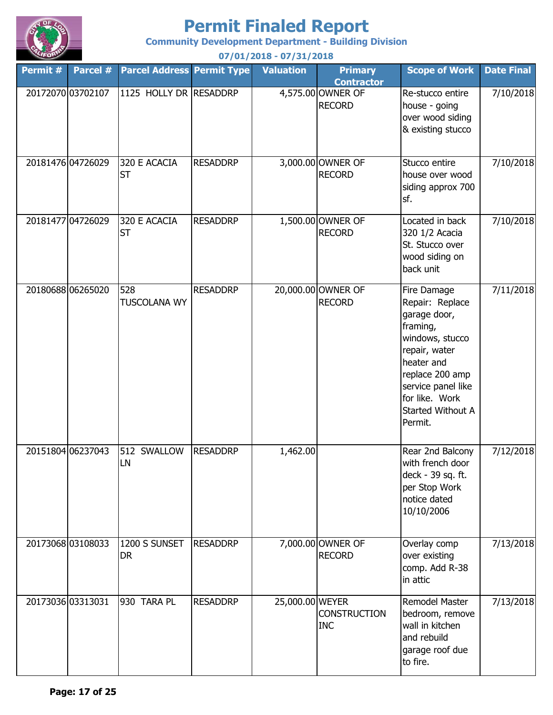

**Community Development Department - Building Division**

**Permit # Parcel # Permit Type Valuation Primary Parcel Address Contractor Scope of Work Date Final 07/01/2018 - 07/31/2018** 20172070 03702107 RESADDRP 4,575.00 OWNER OF 1125 HOLLY DR RECORD Re-stucco entire house - going over wood siding & existing stucco 7/10/2018 20181476 04726029 320 E ACACIA RESADDRP 3,000.00 OWNER OF RECORD Stucco entire house over wood siding approx 700 sf. 7/10/2018 20181477 04726029 320 E ACACIA RESADDRP 1,500.00 OWNER OF RECORD Located in back 320 1/2 Acacia St. Stucco over wood siding on back unit 7/10/2018 20180688 06265020 528 RESADDRP 20,000.00 OWNER OF RECORD Fire Damage Repair: Replace garage door, framing, windows, stucco repair, water heater and replace 200 amp service panel like for like. Work Started Without A Permit. 7/11/2018 20151804 06237043 512 SWALLOW RESADDRP | 1,462.00 Rear 2nd Balcony with french door deck - 39 sq. ft. per Stop Work notice dated 10/10/2006 7/12/2018 20173068 03108033 1200 S SUNSET RESADDRP 7,000.00 OWNER OF RECORD Overlay comp over existing comp. Add R-38 in attic 7/13/2018 20173036 03313031 930 TARA PL RESADDRP 25,000.00 WEYER **CONSTRUCTION** INC Remodel Master bedroom, remove wall in kitchen and rebuild garage roof due to fire. 7/13/2018 320 E ACACIA ST 528 TUSCOLANA WY 512 SWALLOW LN 1200 S SUNSET DR 930 TARA PL 320 E ACACIA ST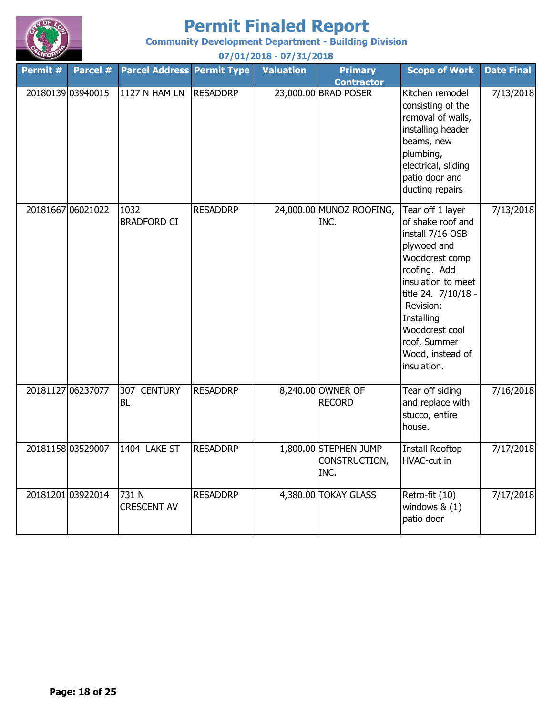

**Community Development Department - Building Division**

**Permit # Parcel # Permit Type Valuation Primary Parcel Address Contractor Scope of Work Date Final 07/01/2018 - 07/31/2018** 20180139 03940015 1127 N HAM LN RESADDRP | 23,000.00 BRAD POSER Kitchen remodel consisting of the removal of walls, installing header beams, new plumbing, electrical, sliding patio door and ducting repairs 7/13/2018 20181667 06021022 1032 RESADDRP 24,000.00 MUNOZ ROOFING, INC. Tear off 1 layer of shake roof and install 7/16 OSB plywood and Woodcrest comp roofing. Add insulation to meet title 24. 7/10/18 - Revision: **Installing** Woodcrest cool roof, Summer Wood, instead of insulation. 7/13/2018 20181127 06237077 307 CENTURY RESADDRP 8,240.00 OWNER OF RECORD Tear off siding and replace with stucco, entire house. 7/16/2018 20181158 03529007 1404 LAKE ST RESADDRP 1,800.00 STEPHEN JUMP CONSTRUCTION, INC. Install Rooftop HVAC-cut in 7/17/2018 20181201 03922014 731 N RESADDRP | 4,380.00 TOKAY GLASS Retro-fit (10) windows & (1) 7/17/2018 1127 N HAM LN 1032 BRADFORD CI 307 CENTURY BL 1404 LAKE ST 731 N CRESCENT AV

patio door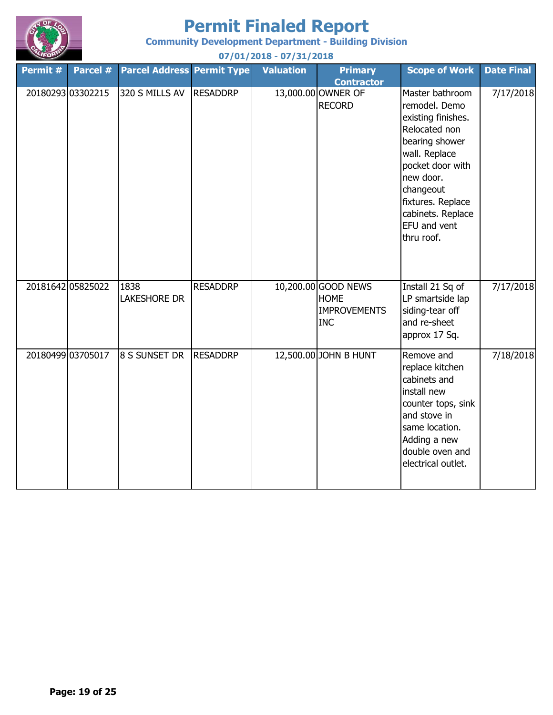

**Community Development Department - Building Division**

| Permit # | Parcel #          | <b>Parcel Address Permit Type</b> |                 | <b>Valuation</b> | <b>Primary</b>                                                          | <b>Scope of Work</b>                                                                                                                                                                                                             | <b>Date Final</b> |
|----------|-------------------|-----------------------------------|-----------------|------------------|-------------------------------------------------------------------------|----------------------------------------------------------------------------------------------------------------------------------------------------------------------------------------------------------------------------------|-------------------|
|          | 20180293 03302215 | 320 S MILLS AV                    | <b>RESADDRP</b> |                  | <b>Contractor</b><br>13,000.00 OWNER OF<br><b>RECORD</b>                | Master bathroom<br>remodel. Demo<br>existing finishes.<br>Relocated non<br>bearing shower<br>wall. Replace<br>pocket door with<br>new door.<br>changeout<br>fixtures. Replace<br>cabinets. Replace<br>EFU and vent<br>thru roof. | 7/17/2018         |
|          | 20181642 05825022 | 1838<br><b>LAKESHORE DR</b>       | <b>RESADDRP</b> |                  | 10,200.00 GOOD NEWS<br><b>HOME</b><br><b>IMPROVEMENTS</b><br><b>INC</b> | Install 21 Sq of<br>LP smartside lap<br>siding-tear off<br>and re-sheet<br>approx 17 Sq.                                                                                                                                         | 7/17/2018         |
|          | 20180499 03705017 | 8 S SUNSET DR                     | <b>RESADDRP</b> |                  | 12,500.00 JOHN B HUNT                                                   | Remove and<br>replace kitchen<br>cabinets and<br>install new<br>counter tops, sink<br>and stove in<br>same location.<br>Adding a new<br>double oven and<br>electrical outlet.                                                    | 7/18/2018         |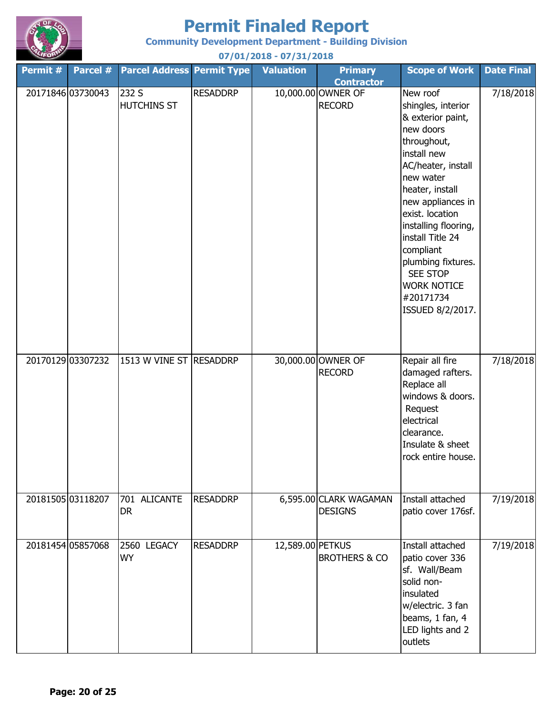

**Community Development Department - Building Division**

| Permit # | Parcel #          | <b>Parcel Address Permit Type</b>  |                 | <b>Valuation</b> | <b>Primary</b><br><b>Contractor</b>      | <b>Scope of Work</b>                                                                                                                                                                                                                                                                                                                                  | <b>Date Final</b> |
|----------|-------------------|------------------------------------|-----------------|------------------|------------------------------------------|-------------------------------------------------------------------------------------------------------------------------------------------------------------------------------------------------------------------------------------------------------------------------------------------------------------------------------------------------------|-------------------|
|          | 20171846 03730043 | 232 S<br><b>HUTCHINS ST</b>        | <b>RESADDRP</b> |                  | 10,000.00 OWNER OF<br><b>RECORD</b>      | New roof<br>shingles, interior<br>& exterior paint,<br>new doors<br>throughout,<br>install new<br>AC/heater, install<br>new water<br>heater, install<br>new appliances in<br>exist. location<br>installing flooring,<br>install Title 24<br>compliant<br>plumbing fixtures.<br><b>SEE STOP</b><br><b>WORK NOTICE</b><br>#20171734<br>ISSUED 8/2/2017. | 7/18/2018         |
|          | 20170129 03307232 | 1513 W VINE ST RESADDRP            |                 |                  | 30,000.00 OWNER OF<br><b>RECORD</b>      | Repair all fire<br>damaged rafters.<br>Replace all<br>windows & doors.<br>Request<br>electrical<br>clearance.<br>Insulate & sheet<br>rock entire house.                                                                                                                                                                                               | 7/18/2018         |
|          | 20181505 03118207 | 701 ALICANTE<br><b>DR</b>          | <b>RESADDRP</b> |                  | 6,595.00 CLARK WAGAMAN<br><b>DESIGNS</b> | Install attached<br>patio cover 176sf.                                                                                                                                                                                                                                                                                                                | 7/19/2018         |
|          | 20181454 05857068 | <b>LEGACY</b><br>2560<br><b>WY</b> | <b>RESADDRP</b> | 12,589.00 PETKUS | <b>BROTHERS &amp; CO</b>                 | Install attached<br>patio cover 336<br>sf. Wall/Beam<br>solid non-<br>insulated<br>w/electric. 3 fan<br>beams, 1 fan, 4<br>LED lights and 2<br>outlets                                                                                                                                                                                                | 7/19/2018         |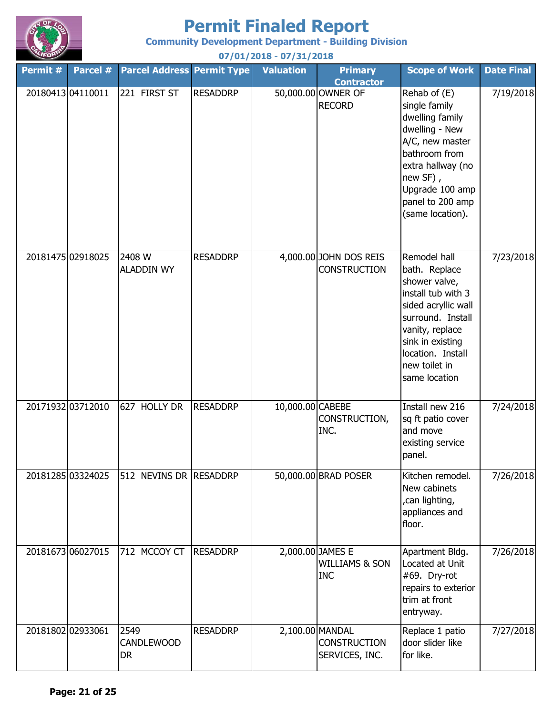

**Community Development Department - Building Division 07/01/2018 - 07/31/2018**

**Permit # Parcel # Permit Type Valuation Primary Parcel Address Contractor Scope of Work Date Final** 20180413 04110011 221 FIRST ST RESADDRP | 50,000.00 OWNER OF RECORD Rehab of (E) single family dwelling family dwelling - New A/C, new master bathroom from extra hallway (no new SF) , Upgrade 100 amp panel to 200 amp (same location). 7/19/2018 20181475 02918025 2408 W RESADDRP 4,000.00 JOHN DOS REIS **CONSTRUCTION** Remodel hall bath. Replace shower valve, install tub with 3 sided acryllic wall surround. Install vanity, replace sink in existing location. Install new toilet in same location 7/23/2018 20171932 03712010 RESADDRP 10,000.00 CABEBE CONSTRUCTION, INC. Install new 216 sq ft patio cover and move existing service panel. 7/24/2018 20181285|03324025 | 512 NEVINS DR | RESADDRP | 50,000.00 BRAD POSER | Kitchen remodel. New cabinets ,can lighting, appliances and floor. 7/26/2018 20181673|06027015 |712 MCCOY CT |RESADDRP | 2,000.00|JAMES E WILLIAMS & SON INC Apartment Bldg. Located at Unit #69. Dry-rot repairs to exterior trim at front entryway. 7/26/2018 20181802 02933061 RESADDRP 2,100.00 MANDAL **CONSTRUCTION** SERVICES, INC. Replace 1 patio door slider like for like. 7/27/2018 2549 CANDLEWOOD DR 221 FIRST ST 2408 W ALADDIN WY 627 HOLLY DR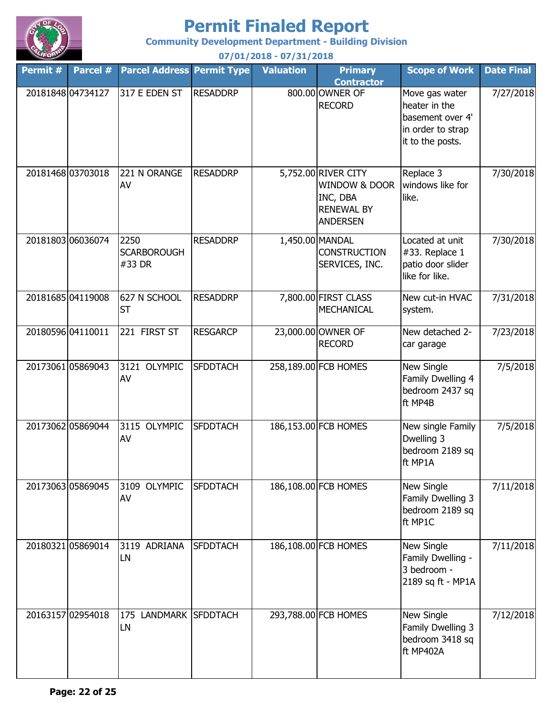

**Community Development Department - Building Division**

| Permit # | Parcel #          | <b>Parcel Address Permit Type</b>    |                 | <b>Valuation</b> | <b>Primary</b><br><b>Contractor</b>                                                      | <b>Scope of Work</b>                                                                         | <b>Date Final</b> |
|----------|-------------------|--------------------------------------|-----------------|------------------|------------------------------------------------------------------------------------------|----------------------------------------------------------------------------------------------|-------------------|
|          | 20181848 04734127 | 317 E EDEN ST                        | <b>RESADDRP</b> |                  | 800.00 OWNER OF<br><b>RECORD</b>                                                         | Move gas water<br>heater in the<br>basement over 4'<br>in order to strap<br>it to the posts. | 7/27/2018         |
|          | 20181468 03703018 | 221 N ORANGE<br>AV                   | <b>RESADDRP</b> |                  | 5,752.00 RIVER CITY<br>WINDOW & DOOR<br>INC, DBA<br><b>RENEWAL BY</b><br><b>ANDERSEN</b> | Replace 3<br>windows like for<br>like.                                                       | 7/30/2018         |
|          | 2018180306036074  | 2250<br><b>SCARBOROUGH</b><br>#33 DR | <b>RESADDRP</b> |                  | 1,450.00 MANDAL<br><b>CONSTRUCTION</b><br>SERVICES, INC.                                 | Located at unit<br>#33. Replace 1<br>patio door slider<br>like for like.                     | 7/30/2018         |
|          | 20181685 04119008 | 627 N SCHOOL<br><b>ST</b>            | <b>RESADDRP</b> |                  | 7,800.00 FIRST CLASS<br><b>MECHANICAL</b>                                                | New cut-in HVAC<br>system.                                                                   | 7/31/2018         |
|          | 20180596 04110011 | 221 FIRST ST                         | <b>RESGARCP</b> |                  | 23,000.00 OWNER OF<br><b>RECORD</b>                                                      | New detached 2-<br>car garage                                                                | 7/23/2018         |
|          | 2017306105869043  | 3121 OLYMPIC<br>AV                   | <b>SFDDTACH</b> |                  | 258,189.00 FCB HOMES                                                                     | <b>New Single</b><br>Family Dwelling 4<br>bedroom 2437 sq<br>ft MP4B                         | 7/5/2018          |
|          | 2017306205869044  | 3115 OLYMPIC<br>AV                   | <b>SFDDTACH</b> |                  | 186,153.00 FCB HOMES                                                                     | New single Family<br>Dwelling 3<br>bedroom 2189 sq<br>ft MP1A                                | 7/5/2018          |
|          | 20173063 05869045 | 3109 OLYMPIC<br>AV                   | <b>SFDDTACH</b> |                  | 186,108.00 FCB HOMES                                                                     | New Single<br>Family Dwelling 3<br>bedroom 2189 sq<br>ft MP1C                                | 7/11/2018         |
|          | 20180321 05869014 | 3119 ADRIANA<br>LN                   | <b>SFDDTACH</b> |                  | 186,108.00 FCB HOMES                                                                     | New Single<br>Family Dwelling -<br>3 bedroom -<br>2189 sq ft - MP1A                          | 7/11/2018         |
|          | 20163157 02954018 | 175 LANDMARK SFDDTACH<br>LN          |                 |                  | 293,788.00 FCB HOMES                                                                     | New Single<br>Family Dwelling 3<br>bedroom 3418 sq<br>ft MP402A                              | 7/12/2018         |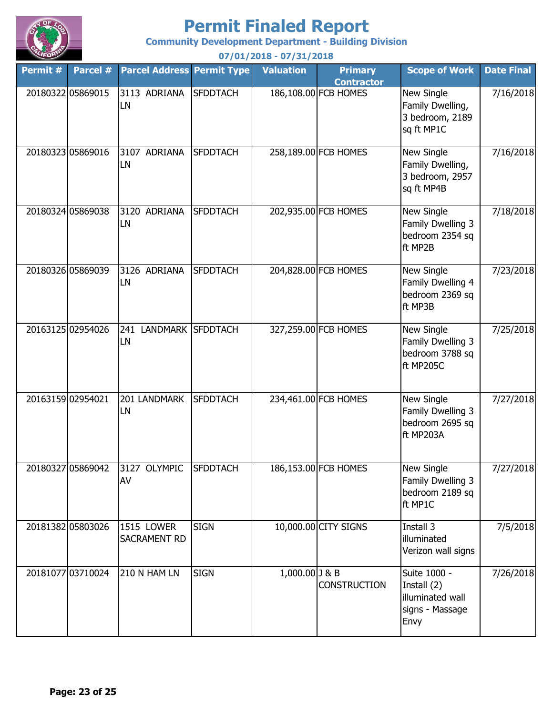

**Community Development Department - Building Division**

**Permit # Parcel # Permit Type Valuation Primary Parcel Address Contractor Scope of Work Date Final 07/01/2018 - 07/31/2018** 20180322 05869015 3113 ADRIANA SFDDTACH 186,108.00 FCB HOMES New Single Family Dwelling, 3 bedroom, 2189 sq ft MP1C 7/16/2018 20180323 05869016 3107 ADRIANA SFDDTACH 258,189.00 FCB HOMES New Single Family Dwelling, 3 bedroom, 2957 sq ft MP4B 7/16/2018 20180324 05869038 3120 ADRIANA SFDDTACH 202,935.00 FCB HOMES New Single Family Dwelling 3 bedroom 2354 sq ft MP2B 7/18/2018 20180326 05869039 3126 ADRIANA SFDDTACH 204,828.00 FCB HOMES New Single Family Dwelling 4 bedroom 2369 sq ft MP3B 7/23/2018 20163125|02954026 |241 LANDMARK |SFDDTACH | 327,259.00 FCB HOMES | New Single Family Dwelling 3 bedroom 3788 sq ft MP205C 7/25/2018 20163159 02954021 201 LANDMARK SFDDTACH 234,461.00 FCB HOMES New Single Family Dwelling 3 bedroom 2695 sq ft MP203A 7/27/2018 20180327 05869042 3127 OLYMPIC SFDDTACH 186,153.00 FCB HOMES New Single Family Dwelling 3 bedroom 2189 sq ft MP1C 7/27/2018 20181382 05803026 1515 LOWER SIGN 10,000.00 CITY SIGNS TInstall 3 illuminated Verizon wall signs 7/5/2018 20181077 03710024 210 N HAM LN SIGN 1,000.00 J & B **CONSTRUCTION** Suite 1000 - Install (2) illuminated wall signs - Massage Envy 7/26/2018 1515 LOWER SACRAMENT RD 210 N HAM LN 3120 ADRIANA LN 3126 ADRIANA LN LN 201 LANDMARK LN 3127 OLYMPIC AV 3113 ADRIANA LN 3107 ADRIANA LN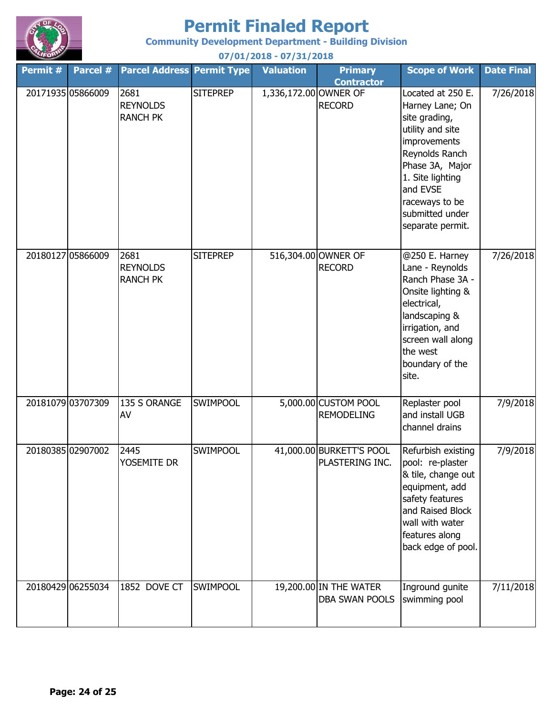

**Community Development Department - Building Division**

| Permit # | Parcel #          | <b>Parcel Address Permit Type</b>          |                 | <b>Valuation</b>      | <b>Primary</b><br><b>Contractor</b>         | <b>Scope of Work</b>                                                                                                                                                                                                    | <b>Date Final</b> |
|----------|-------------------|--------------------------------------------|-----------------|-----------------------|---------------------------------------------|-------------------------------------------------------------------------------------------------------------------------------------------------------------------------------------------------------------------------|-------------------|
|          | 20171935 05866009 | 2681<br><b>REYNOLDS</b><br><b>RANCH PK</b> | <b>SITEPREP</b> | 1,336,172.00 OWNER OF | <b>RECORD</b>                               | Located at 250 E.<br>Harney Lane; On<br>site grading,<br>utility and site<br>improvements<br>Reynolds Ranch<br>Phase 3A, Major<br>1. Site lighting<br>and EVSE<br>raceways to be<br>submitted under<br>separate permit. | 7/26/2018         |
|          | 20180127 05866009 | 2681<br><b>REYNOLDS</b><br><b>RANCH PK</b> | <b>SITEPREP</b> |                       | 516,304.00 OWNER OF<br><b>RECORD</b>        | @250 E. Harney<br>Lane - Reynolds<br>Ranch Phase 3A -<br>Onsite lighting &<br>electrical,<br>landscaping &<br>irrigation, and<br>screen wall along<br>the west<br>boundary of the<br>site.                              | 7/26/2018         |
|          | 20181079 03707309 | 135 S ORANGE<br>AV                         | <b>SWIMPOOL</b> |                       | 5,000.00 CUSTOM POOL<br><b>REMODELING</b>   | Replaster pool<br>and install UGB<br>channel drains                                                                                                                                                                     | 7/9/2018          |
|          | 20180385 02907002 | 2445<br>YOSEMITE DR                        | <b>SWIMPOOL</b> |                       | 41,000.00 BURKETT'S POOL<br>PLASTERING INC. | Refurbish existing<br>pool: re-plaster<br>& tile, change out<br>equipment, add<br>safety features<br>and Raised Block<br>wall with water<br>features along<br>back edge of pool.                                        | 7/9/2018          |
|          | 20180429 06255034 | 1852 DOVE CT                               | <b>SWIMPOOL</b> |                       | 19,200.00 IN THE WATER<br>DBA SWAN POOLS    | Inground gunite<br>swimming pool                                                                                                                                                                                        | 7/11/2018         |